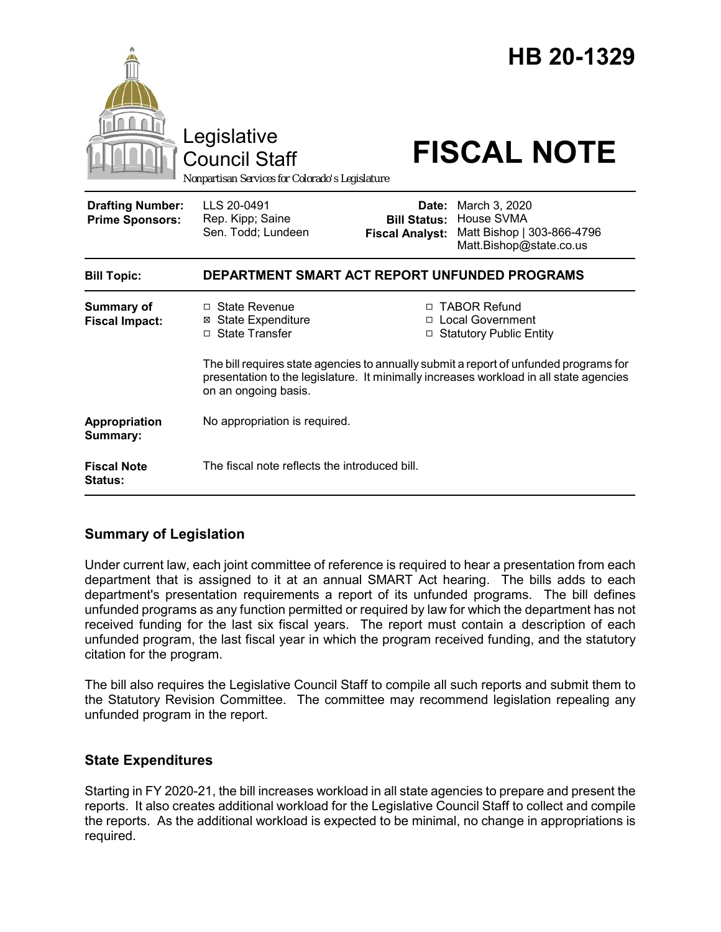

## **Summary of Legislation**

Under current law, each joint committee of reference is required to hear a presentation from each department that is assigned to it at an annual SMART Act hearing. The bills adds to each department's presentation requirements a report of its unfunded programs. The bill defines unfunded programs as any function permitted or required by law for which the department has not received funding for the last six fiscal years. The report must contain a description of each unfunded program, the last fiscal year in which the program received funding, and the statutory citation for the program.

The bill also requires the Legislative Council Staff to compile all such reports and submit them to the Statutory Revision Committee. The committee may recommend legislation repealing any unfunded program in the report.

## **State Expenditures**

Starting in FY 2020-21, the bill increases workload in all state agencies to prepare and present the reports. It also creates additional workload for the Legislative Council Staff to collect and compile the reports. As the additional workload is expected to be minimal, no change in appropriations is required.